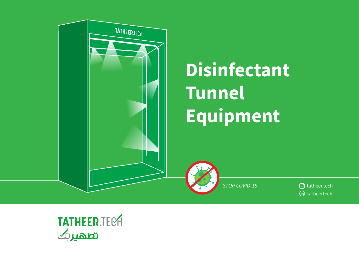

# **Disinfectant Tunnel** Equipment

STOP COVID-19

ල tatheer.tech (in) tatheertech

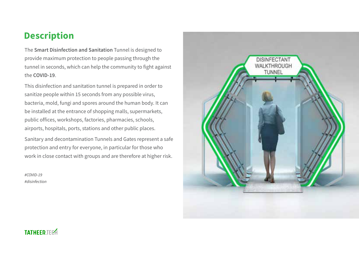# **Description**

The Smart Disinfection and Sanitation Tunnel is designed to provide maximum protection to people passing through the tunnel in seconds, which can help the community to fight against the COVID-19.

This disinfection and sanitation tunnel is prepared in order to sanitize people within 15 seconds from any possible virus. bacteria, mold, fungi and spores around the human body. It can be installed at the entrance of shopping malls, supermarkets, public offices, workshops, factories, pharmacies, schools, airports, hospitals, ports, stations and other public places.

Sanitary and decontamination Tunnels and Gates represent a safe protection and entry for everyone, in particular for those who work in close contact with groups and are therefore at higher risk.

 $\#COVID-19$ #disinfection



#### **TATHFFD TFRA**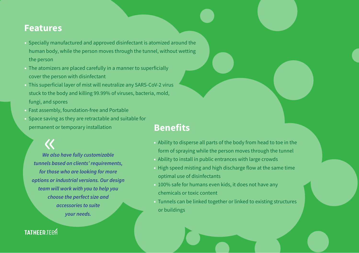## **Features**

- Specially manufactured and approved disinfectant is atomized around the human body, while the person moves through the tunnel, without wetting the person
- The atomizers are placed carefully in a manner to superficially cover the person with disinfectant
- . This superficial layer of mist will neutralize any SARS-CoV-2 virus stuck to the body and killing 99.99% of viruses, bacteria, mold, fungi, and spores
- · Fast assembly, foundation-free and Portable
- Space saving as they are retractable and suitable for permanent or temporary installation

We also have fully customizable tunnels based on clients' requirements, for those who are looking for more options or industrial versions. Our design team will work with you to help you choose the perfect size and accessories to suite your needs.

# **Benefits**

- . Ability to disperse all parts of the body from head to toe in the form of spraying while the person moves through the tunnel
- Ability to install in public entrances with large crowds
- . High speed misting and high discharge flow at the same time optimal use of disinfectants
- . 100% safe for humans even kids, it does not have any chemicals or toxic content
- Tunnels can be linked together or linked to existing structures or buildings

#### **TATHEER TEGA**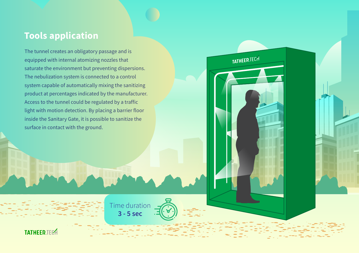# **Tools application**

The tunnel creates an obligatory passage and is equipped with internal atomizing nozzles that saturate the environment but preventing dispersions. The nebulization system is connected to a control system capable of automatically mixing the sanitizing product at percentages indicated by the manufacturer. Access to the tunnel could be regulated by a traffic light with motion detection. By placing a barrier floor inside the Sanitary Gate, it is possible to sanitize the surface in contact with the ground.



TATHEER.TECH

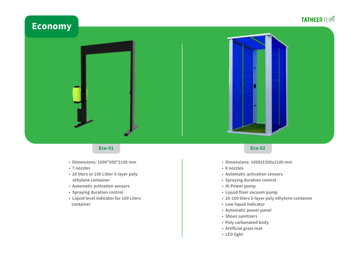# **TATHEER.TECH Economy**

#### **Eco-01**

- Dimensions: 1000\*500\*2100 mm
- 7 nozzles
- 20 liters or 100 Litter 3-layer poly ethylene container
- Automatic activation sensors
- Spraying duration control
- Liquid level indicator for 100 Liters container

#### **Eco-02**

- · Dimensions: 1000x1500x2100 mm
- 8 nozzles
- Automatic activation sensors
- Spraying duration control
- Hi Power pump
- Liquid floor vacuum pump
- 20-100 liters 3-layer poly ethylene container
- Low liquid indicator
- Automatic power panel
- · Shoes sanitizers
- Poly carbonated body
- Artificial grass mat
- LED light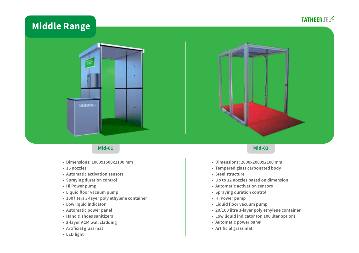#### **TATHEER.TECH**

# **Middle Range**





- · Dimensions: 1000x1500x2100 mm
- 16 nozzles
- Automatic activation sensors
- Spraying duration control
- Hi Power pump
- Liquid floor vacuum pump
- 100 liters 3-layer poly ethylene container
- Low liquid indicator
- Automatic power panel
- Hand & shoes sanitizers
- 2-layer ACM wall cladding
- Artificial grass mat
- LED light

#### **Mid-02**

- Dimensions: 2000x2000x2100 mm
- Tempered glass carbonated body
- Steel structure
- Up to 12 nozzles based on dimension
- Automatic activation sensors
- Spraying duration control
- Hi Power pump
- Liquid floor vacuum pump
- 20/100 litre 3-layer poly ethylene container
- Low liquid indicator (on 100 liter option)
- Automatic power panel
- Artificial grass mat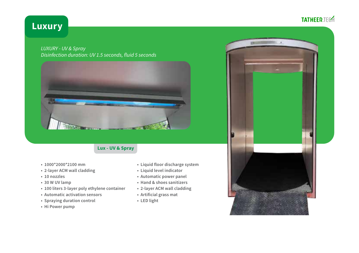### **TATHEER.TECH**

# **Luxury**

**LUXURY - UV & Spray** Disinfection duration: UV 1.5 seconds, fluid 5 seconds



#### Lux - UV & Spray

- 1000\*2000\*2100 mm
- 2-layer ACM wall cladding
- $\cdot$  10 nozzles
- \* 30 W UV lamp
- 100 liters 3-layer poly ethylene container
- Automatic activation sensors
- Spraying duration control
- Hi Power pump
- Liquid floor discharge system
- Liquid level indicator
- Automatic power panel
- Hand & shoes sanitizers
- 2-layer ACM wall cladding
- Artificial grass mat
- LED light

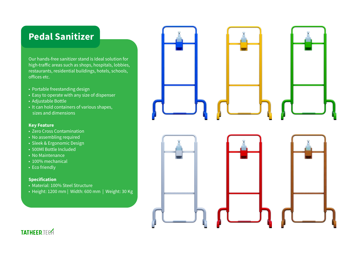# **Pedal Sanitizer**

Our hands-free sanitizer stand is Ideal solution for high-traffic areas such as shops, hospitals, lobbies, restaurants, residential buildings, hotels, schools, offices etc.

- Portable freestanding design
- Easy to operate with any size of dispenser
- Adjustable Bottle
- It can hold containers of various shapes, sizes and dimensions

#### **Key Feature**

- Zero Cross Contamination
- No assembling required
- · Sleek & Ergonomic Design
- 500Ml Bottle Included
- No Maintenance
- 100% mechanical
- Eco friendly

#### **Specification**

- · Material: 100% Steel Structure
- Height: 1200 mm | Width: 600 mm | Weight: 30 Kg



**TATHEER TEGA**